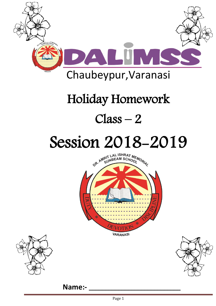

## Holiday Homework

### $Class - 2$

# Session 2018-2019







**Name:-**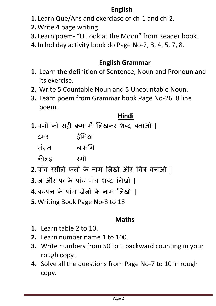#### **English**

- **1.** Learn Que/Ans and exerciase of ch-1 and ch-2.
- **2.**Write 4 page writing.
- **3.** Learn poem- "O Look at the Moon" from Reader book.
- **4.**In holiday activity book do Page No-2, 3, 4, 5, 7, 8.

#### **English Grammar**

- **1.** Learn the definition of Sentence, Noun and Pronoun and its exercise.
- **2.** Write 5 Countable Noun and 5 Uncountable Noun.
- **3.** Learn poem from Grammar book Page No-26. 8 line poem.

#### **Hindi**

**1.**वर्णों को सही क्रम में लिखकर शब्द बनाओ |

| टमर   | ईमिठा |
|-------|-------|
| सरात  | लासगि |
| कीलड़ | रमो   |

- **2.**पांच रसीले फलों के नाम लिखो और चित्र बनाओ |
- **3.**ज और फ के पांच-पांच शब्द लिखो |
- **4.**बचपन के पांच खेिों के नाम लिखो |
- **5.**Writing Book Page No-8 to 18

#### **Maths**

- **1.** Learn table 2 to 10.
- **2.** Learn number name 1 to 100.
- **3.** Write numbers from 50 to 1 backward counting in your rough copy.
- **4.** Solve all the questions from Page No-7 to 10 in rough copy.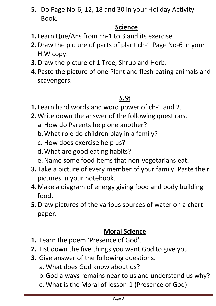**5.** Do Page No-6, 12, 18 and 30 in your Holiday Activity Book.

#### **Science**

- **1.** Learn Que/Ans from ch-1 to 3 and its exercise.
- **2.**Draw the picture of parts of plant ch-1 Page No-6 in your H.W copy.
- **3.**Draw the picture of 1 Tree, Shrub and Herb.
- **4.**Paste the picture of one Plant and flesh eating animals and scavengers.

#### **S.St**

- **1.** Learn hard words and word power of ch-1 and 2.
- **2.**Write down the answer of the following questions.
	- a. How do Parents help one another?
	- b.What role do children play in a family?
	- c. How does exercise help us?
	- d.What are good eating habits?
	- e.Name some food items that non-vegetarians eat.
- **3.** Take a picture of every member of your family. Paste their pictures in your notebook.
- **4.**Make a diagram of energy giving food and body building food.
- **5.**Draw pictures of the various sources of water on a chart paper.

#### **Moral Science**

- **1.** Learn the poem 'Presence of God'.
- **2.** List down the five things you want God to give you.
- **3.** Give answer of the following questions.
	- a. What does God know about us?
	- b.God always remains near to us and understand us why?
	- c. What is the Moral of lesson-1 (Presence of God)